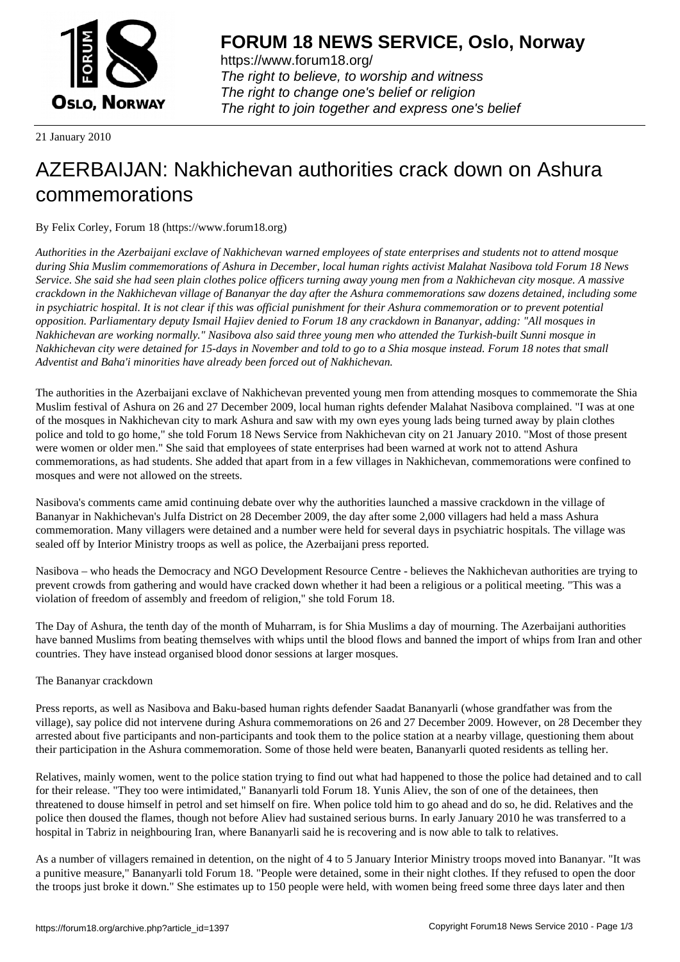

https://www.forum18.org/ The right to believe, to worship and witness The right to change one's belief or religion [The right to join together a](https://www.forum18.org/)nd express one's belief

21 January 2010

# [AZERBAIJAN: N](https://www.forum18.org)akhichevan authorities crack down on Ashura commemorations

By Felix Corley, Forum 18 (https://www.forum18.org)

*Authorities in the Azerbaijani exclave of Nakhichevan warned employees of state enterprises and students not to attend mosque during Shia Muslim commemorations of Ashura in December, local human rights activist Malahat Nasibova told Forum 18 News Service. She said she had seen plain clothes police officers turning away young men from a Nakhichevan city mosque. A massive crackdown in the Nakhichevan village of Bananyar the day after the Ashura commemorations saw dozens detained, including some in psychiatric hospital. It is not clear if this was official punishment for their Ashura commemoration or to prevent potential opposition. Parliamentary deputy Ismail Hajiev denied to Forum 18 any crackdown in Bananyar, adding: "All mosques in Nakhichevan are working normally." Nasibova also said three young men who attended the Turkish-built Sunni mosque in Nakhichevan city were detained for 15-days in November and told to go to a Shia mosque instead. Forum 18 notes that small Adventist and Baha'i minorities have already been forced out of Nakhichevan.*

The authorities in the Azerbaijani exclave of Nakhichevan prevented young men from attending mosques to commemorate the Shia Muslim festival of Ashura on 26 and 27 December 2009, local human rights defender Malahat Nasibova complained. "I was at one of the mosques in Nakhichevan city to mark Ashura and saw with my own eyes young lads being turned away by plain clothes police and told to go home," she told Forum 18 News Service from Nakhichevan city on 21 January 2010. "Most of those present were women or older men." She said that employees of state enterprises had been warned at work not to attend Ashura commemorations, as had students. She added that apart from in a few villages in Nakhichevan, commemorations were confined to mosques and were not allowed on the streets.

Nasibova's comments came amid continuing debate over why the authorities launched a massive crackdown in the village of Bananyar in Nakhichevan's Julfa District on 28 December 2009, the day after some 2,000 villagers had held a mass Ashura commemoration. Many villagers were detained and a number were held for several days in psychiatric hospitals. The village was sealed off by Interior Ministry troops as well as police, the Azerbaijani press reported.

Nasibova – who heads the Democracy and NGO Development Resource Centre - believes the Nakhichevan authorities are trying to prevent crowds from gathering and would have cracked down whether it had been a religious or a political meeting. "This was a violation of freedom of assembly and freedom of religion," she told Forum 18.

The Day of Ashura, the tenth day of the month of Muharram, is for Shia Muslims a day of mourning. The Azerbaijani authorities have banned Muslims from beating themselves with whips until the blood flows and banned the import of whips from Iran and other countries. They have instead organised blood donor sessions at larger mosques.

# The Bananyar crackdown

Press reports, as well as Nasibova and Baku-based human rights defender Saadat Bananyarli (whose grandfather was from the village), say police did not intervene during Ashura commemorations on 26 and 27 December 2009. However, on 28 December they arrested about five participants and non-participants and took them to the police station at a nearby village, questioning them about their participation in the Ashura commemoration. Some of those held were beaten, Bananyarli quoted residents as telling her.

Relatives, mainly women, went to the police station trying to find out what had happened to those the police had detained and to call for their release. "They too were intimidated," Bananyarli told Forum 18. Yunis Aliev, the son of one of the detainees, then threatened to douse himself in petrol and set himself on fire. When police told him to go ahead and do so, he did. Relatives and the police then doused the flames, though not before Aliev had sustained serious burns. In early January 2010 he was transferred to a hospital in Tabriz in neighbouring Iran, where Bananyarli said he is recovering and is now able to talk to relatives.

As a number of villagers remained in detention, on the night of 4 to 5 January Interior Ministry troops moved into Bananyar. "It was a punitive measure," Bananyarli told Forum 18. "People were detained, some in their night clothes. If they refused to open the door the troops just broke it down." She estimates up to 150 people were held, with women being freed some three days later and then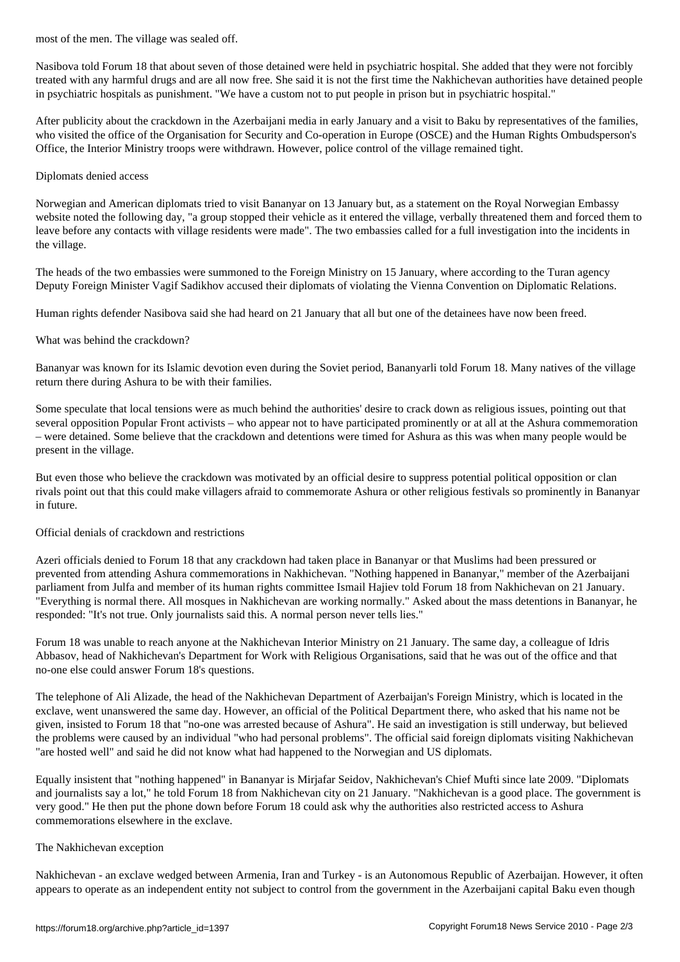Nasibova told Forum 18 that about seven of those detained were held in psychiatric hospital. She added that they were not forcibly treated with any harmful drugs and are all now free. She said it is not the first time the Nakhichevan authorities have detained people in psychiatric hospitals as punishment. "We have a custom not to put people in prison but in psychiatric hospital."

After publicity about the crackdown in the Azerbaijani media in early January and a visit to Baku by representatives of the families, who visited the office of the Organisation for Security and Co-operation in Europe (OSCE) and the Human Rights Ombudsperson's Office, the Interior Ministry troops were withdrawn. However, police control of the village remained tight.

#### Diplomats denied access

Norwegian and American diplomats tried to visit Bananyar on 13 January but, as a statement on the Royal Norwegian Embassy website noted the following day, "a group stopped their vehicle as it entered the village, verbally threatened them and forced them to leave before any contacts with village residents were made". The two embassies called for a full investigation into the incidents in the village.

The heads of the two embassies were summoned to the Foreign Ministry on 15 January, where according to the Turan agency Deputy Foreign Minister Vagif Sadikhov accused their diplomats of violating the Vienna Convention on Diplomatic Relations.

Human rights defender Nasibova said she had heard on 21 January that all but one of the detainees have now been freed.

### What was behind the crackdown?

Bananyar was known for its Islamic devotion even during the Soviet period, Bananyarli told Forum 18. Many natives of the village return there during Ashura to be with their families.

Some speculate that local tensions were as much behind the authorities' desire to crack down as religious issues, pointing out that several opposition Popular Front activists – who appear not to have participated prominently or at all at the Ashura commemoration – were detained. Some believe that the crackdown and detentions were timed for Ashura as this was when many people would be present in the village.

But even those who believe the crackdown was motivated by an official desire to suppress potential political opposition or clan rivals point out that this could make villagers afraid to commemorate Ashura or other religious festivals so prominently in Bananyar in future.

#### Official denials of crackdown and restrictions

Azeri officials denied to Forum 18 that any crackdown had taken place in Bananyar or that Muslims had been pressured or prevented from attending Ashura commemorations in Nakhichevan. "Nothing happened in Bananyar," member of the Azerbaijani parliament from Julfa and member of its human rights committee Ismail Hajiev told Forum 18 from Nakhichevan on 21 January. "Everything is normal there. All mosques in Nakhichevan are working normally." Asked about the mass detentions in Bananyar, he responded: "It's not true. Only journalists said this. A normal person never tells lies."

Forum 18 was unable to reach anyone at the Nakhichevan Interior Ministry on 21 January. The same day, a colleague of Idris Abbasov, head of Nakhichevan's Department for Work with Religious Organisations, said that he was out of the office and that no-one else could answer Forum 18's questions.

The telephone of Ali Alizade, the head of the Nakhichevan Department of Azerbaijan's Foreign Ministry, which is located in the exclave, went unanswered the same day. However, an official of the Political Department there, who asked that his name not be given, insisted to Forum 18 that "no-one was arrested because of Ashura". He said an investigation is still underway, but believed the problems were caused by an individual "who had personal problems". The official said foreign diplomats visiting Nakhichevan "are hosted well" and said he did not know what had happened to the Norwegian and US diplomats.

Equally insistent that "nothing happened" in Bananyar is Mirjafar Seidov, Nakhichevan's Chief Mufti since late 2009. "Diplomats and journalists say a lot," he told Forum 18 from Nakhichevan city on 21 January. "Nakhichevan is a good place. The government is very good." He then put the phone down before Forum 18 could ask why the authorities also restricted access to Ashura commemorations elsewhere in the exclave.

## The Nakhichevan exception

Nakhichevan - an exclave wedged between Armenia, Iran and Turkey - is an Autonomous Republic of Azerbaijan. However, it often appears to operate as an independent entity not subject to control from the government in the Azerbaijani capital Baku even though